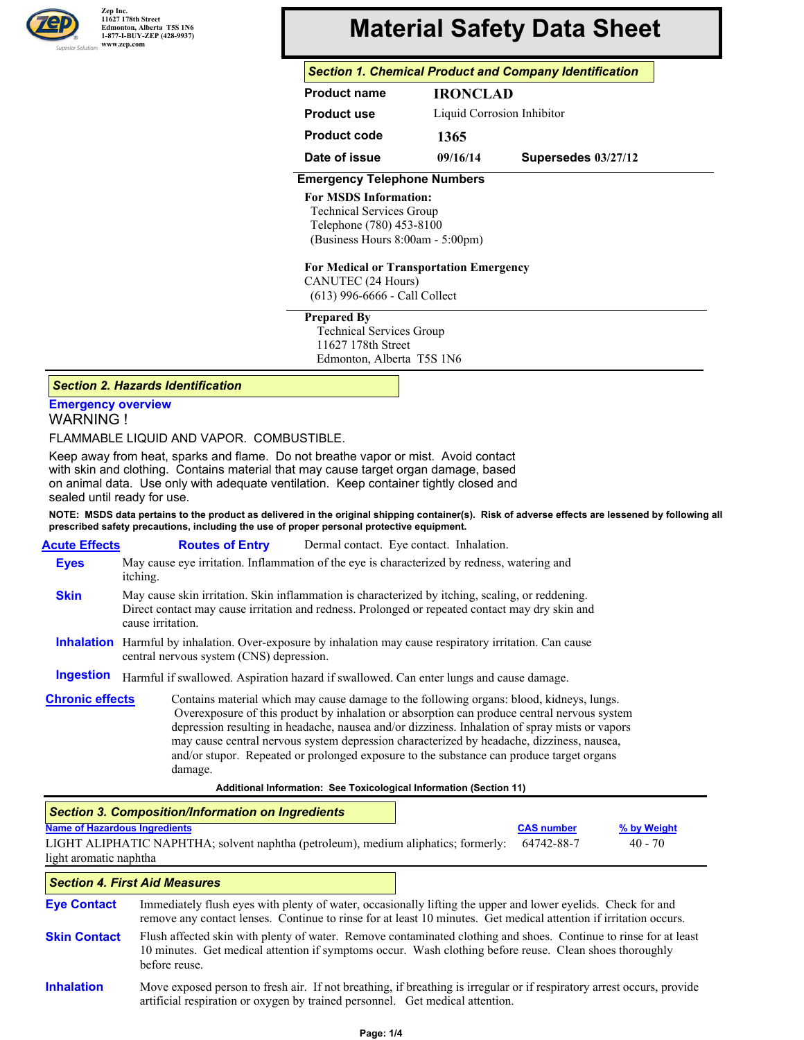

# **Material Safety Data Sheet**

# *Section 1. Chemical Product and Company Identification*

| <b>Product name</b> | <b>IRONCLAD</b> |                            |  |  |
|---------------------|-----------------|----------------------------|--|--|
| Product use         |                 | Liquid Corrosion Inhibitor |  |  |
| <b>Product code</b> | 1365            |                            |  |  |
| Date of issue       | 09/16/14        | Supersedes 03/27/12        |  |  |

## **Emergency Telephone Numbers**

#### **For MSDS Information:**

Technical Services Group Telephone (780) 453-8100 (Business Hours 8:00am - 5:00pm)

#### **For Medical or Transportation Emergency**

CANUTEC (24 Hours) (613) 996-6666 - Call Collect

#### **Prepared By**

 Technical Services Group 11627 178th Street Edmonton, Alberta T5S 1N6

#### *Section 2. Hazards Identification*

## **Emergency overview** WARNING !

FLAMMABLE LIQUID AND VAPOR. COMBUSTIBLE.

Keep away from heat, sparks and flame. Do not breathe vapor or mist. Avoid contact with skin and clothing. Contains material that may cause target organ damage, based on animal data. Use only with adequate ventilation. Keep container tightly closed and sealed until ready for use.

**NOTE: MSDS data pertains to the product as delivered in the original shipping container(s). Risk of adverse effects are lessened by following all prescribed safety precautions, including the use of proper personal protective equipment.**

**Acute Effects Eyes Skin Inhalation** Harmful by inhalation. Over-exposure by inhalation may cause respiratory irritation. Can cause **Ingestion Routes of Entry** Dermal contact. Eye contact. Inhalation. May cause eye irritation. Inflammation of the eye is characterized by redness, watering and itching. May cause skin irritation. Skin inflammation is characterized by itching, scaling, or reddening. Direct contact may cause irritation and redness. Prolonged or repeated contact may dry skin and cause irritation. central nervous system (CNS) depression. Harmful if swallowed. Aspiration hazard if swallowed. Can enter lungs and cause damage. **Chronic effects** Contains material which may cause damage to the following organs: blood, kidneys, lungs. Overexposure of this product by inhalation or absorption can produce central nervous system depression resulting in headache, nausea and/or dizziness. Inhalation of spray mists or vapors may cause central nervous system depression characterized by headache, dizziness, nausea, and/or stupor. Repeated or prolonged exposure to the substance can produce target organs damage.

**Additional Information: See Toxicological Information (Section 11)**

|                                                                                                                                                                                                                                                         | Section 3. Composition/Information on Ingredients |  |                   |             |
|---------------------------------------------------------------------------------------------------------------------------------------------------------------------------------------------------------------------------------------------------------|---------------------------------------------------|--|-------------------|-------------|
| <b>Name of Hazardous Ingredients</b>                                                                                                                                                                                                                    |                                                   |  | <b>CAS number</b> | % by Weight |
| LIGHT ALIPHATIC NAPHTHA; solvent naphtha (petroleum), medium aliphatics; formerly:<br>64742-88-7<br>$40 - 70$<br>light aromatic naphtha                                                                                                                 |                                                   |  |                   |             |
|                                                                                                                                                                                                                                                         | <b>Section 4. First Aid Measures</b>              |  |                   |             |
| <b>Eye Contact</b><br>Immediately flush eyes with plenty of water, occasionally lifting the upper and lower eyelids. Check for and<br>remove any contact lenses. Continue to rinse for at least 10 minutes. Get medical attention if irritation occurs. |                                                   |  |                   |             |

**Skin Contact** Flush affected skin with plenty of water. Remove contaminated clothing and shoes. Continue to rinse for at least 10 minutes. Get medical attention if symptoms occur. Wash clothing before reuse. Clean shoes thoroughly before reuse.

**Inhalation** Move exposed person to fresh air. If not breathing, if breathing is irregular or if respiratory arrest occurs, provide artificial respiration or oxygen by trained personnel. Get medical attention.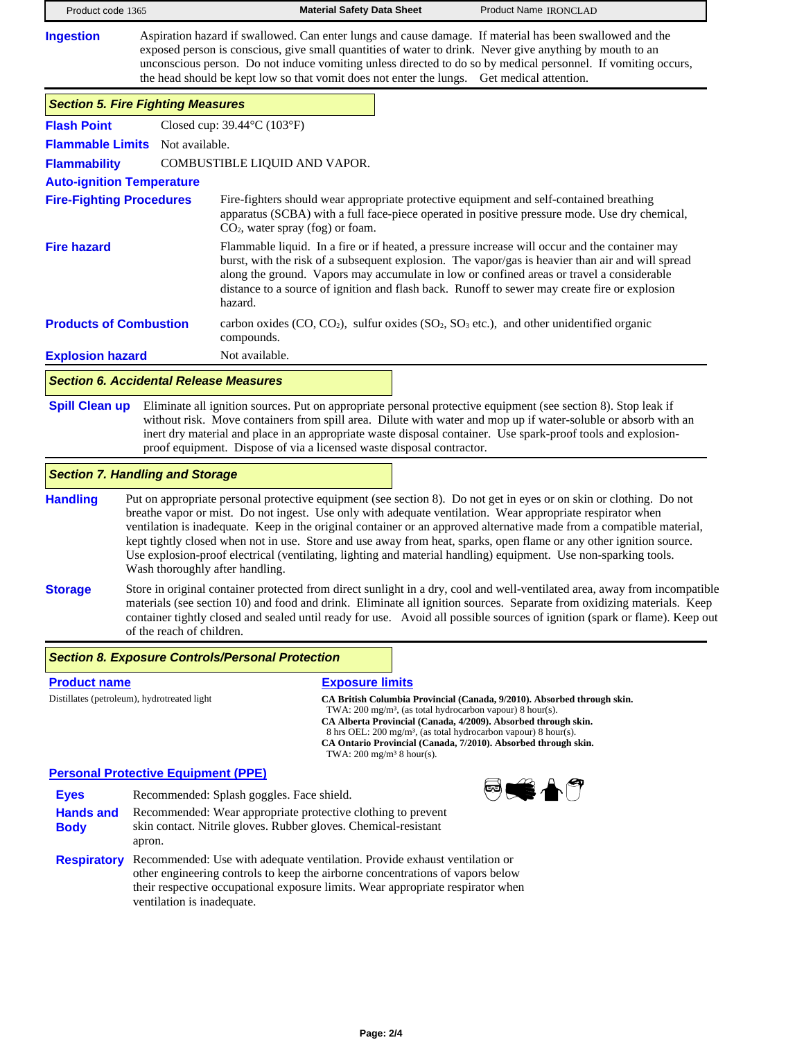| Product code 1365                                                  |                                                                                                                                                                                                                                                                                                                                                                                                                                                                                                                                                                                                                                         | <b>Material Safety Data Sheet</b>                                     | Product Name IRONCLAD                                                                                                                                                                                                                                                                                                                                                                                                               |  |
|--------------------------------------------------------------------|-----------------------------------------------------------------------------------------------------------------------------------------------------------------------------------------------------------------------------------------------------------------------------------------------------------------------------------------------------------------------------------------------------------------------------------------------------------------------------------------------------------------------------------------------------------------------------------------------------------------------------------------|-----------------------------------------------------------------------|-------------------------------------------------------------------------------------------------------------------------------------------------------------------------------------------------------------------------------------------------------------------------------------------------------------------------------------------------------------------------------------------------------------------------------------|--|
| <b>Ingestion</b>                                                   |                                                                                                                                                                                                                                                                                                                                                                                                                                                                                                                                                                                                                                         |                                                                       | Aspiration hazard if swallowed. Can enter lungs and cause damage. If material has been swallowed and the<br>exposed person is conscious, give small quantities of water to drink. Never give anything by mouth to an<br>unconscious person. Do not induce vomiting unless directed to do so by medical personnel. If vomiting occurs,<br>the head should be kept low so that vomit does not enter the lungs. Get medical attention. |  |
| <b>Section 5. Fire Fighting Measures</b>                           |                                                                                                                                                                                                                                                                                                                                                                                                                                                                                                                                                                                                                                         |                                                                       |                                                                                                                                                                                                                                                                                                                                                                                                                                     |  |
| <b>Flash Point</b>                                                 |                                                                                                                                                                                                                                                                                                                                                                                                                                                                                                                                                                                                                                         | Closed cup: $39.44^{\circ}$ C (103°F)                                 |                                                                                                                                                                                                                                                                                                                                                                                                                                     |  |
| Flammable Limits Not available.                                    |                                                                                                                                                                                                                                                                                                                                                                                                                                                                                                                                                                                                                                         |                                                                       |                                                                                                                                                                                                                                                                                                                                                                                                                                     |  |
| <b>Flammability</b>                                                | COMBUSTIBLE LIQUID AND VAPOR.                                                                                                                                                                                                                                                                                                                                                                                                                                                                                                                                                                                                           |                                                                       |                                                                                                                                                                                                                                                                                                                                                                                                                                     |  |
| <b>Auto-ignition Temperature</b>                                   |                                                                                                                                                                                                                                                                                                                                                                                                                                                                                                                                                                                                                                         |                                                                       |                                                                                                                                                                                                                                                                                                                                                                                                                                     |  |
| <b>Fire-Fighting Procedures</b>                                    |                                                                                                                                                                                                                                                                                                                                                                                                                                                                                                                                                                                                                                         | $CO2$ , water spray (fog) or foam.                                    | Fire-fighters should wear appropriate protective equipment and self-contained breathing<br>apparatus (SCBA) with a full face-piece operated in positive pressure mode. Use dry chemical,                                                                                                                                                                                                                                            |  |
| <b>Fire hazard</b>                                                 |                                                                                                                                                                                                                                                                                                                                                                                                                                                                                                                                                                                                                                         | hazard.                                                               | Flammable liquid. In a fire or if heated, a pressure increase will occur and the container may<br>burst, with the risk of a subsequent explosion. The vapor/gas is heavier than air and will spread<br>along the ground. Vapors may accumulate in low or confined areas or travel a considerable<br>distance to a source of ignition and flash back. Runoff to sewer may create fire or explosion                                   |  |
| <b>Products of Combustion</b>                                      |                                                                                                                                                                                                                                                                                                                                                                                                                                                                                                                                                                                                                                         | compounds.                                                            | carbon oxides (CO, CO <sub>2</sub> ), sulfur oxides (SO <sub>2</sub> , SO <sub>3</sub> etc.), and other unidentified organic                                                                                                                                                                                                                                                                                                        |  |
| <b>Explosion hazard</b>                                            |                                                                                                                                                                                                                                                                                                                                                                                                                                                                                                                                                                                                                                         | Not available.                                                        |                                                                                                                                                                                                                                                                                                                                                                                                                                     |  |
| <b>Section 6. Accidental Release Measures</b>                      |                                                                                                                                                                                                                                                                                                                                                                                                                                                                                                                                                                                                                                         |                                                                       |                                                                                                                                                                                                                                                                                                                                                                                                                                     |  |
| <b>Spill Clean up</b>                                              |                                                                                                                                                                                                                                                                                                                                                                                                                                                                                                                                                                                                                                         | proof equipment. Dispose of via a licensed waste disposal contractor. | Eliminate all ignition sources. Put on appropriate personal protective equipment (see section 8). Stop leak if<br>without risk. Move containers from spill area. Dilute with water and mop up if water-soluble or absorb with an<br>inert dry material and place in an appropriate waste disposal container. Use spark-proof tools and explosion-                                                                                   |  |
| <b>Section 7. Handling and Storage</b>                             |                                                                                                                                                                                                                                                                                                                                                                                                                                                                                                                                                                                                                                         |                                                                       |                                                                                                                                                                                                                                                                                                                                                                                                                                     |  |
| <b>Handling</b>                                                    | Put on appropriate personal protective equipment (see section 8). Do not get in eyes or on skin or clothing. Do not<br>breathe vapor or mist. Do not ingest. Use only with adequate ventilation. Wear appropriate respirator when<br>ventilation is inadequate. Keep in the original container or an approved alternative made from a compatible material,<br>kept tightly closed when not in use. Store and use away from heat, sparks, open flame or any other ignition source.<br>Use explosion-proof electrical (ventilating, lighting and material handling) equipment. Use non-sparking tools.<br>Wash thoroughly after handling. |                                                                       |                                                                                                                                                                                                                                                                                                                                                                                                                                     |  |
| <b>Storage</b>                                                     | Store in original container protected from direct sunlight in a dry, cool and well-ventilated area, away from incompatible<br>materials (see section 10) and food and drink. Eliminate all ignition sources. Separate from oxidizing materials. Keep<br>container tightly closed and sealed until ready for use. Avoid all possible sources of ignition (spark or flame). Keep out<br>of the reach of children.                                                                                                                                                                                                                         |                                                                       |                                                                                                                                                                                                                                                                                                                                                                                                                                     |  |
|                                                                    |                                                                                                                                                                                                                                                                                                                                                                                                                                                                                                                                                                                                                                         | <b>Section 8. Exposure Controls/Personal Protection</b>               |                                                                                                                                                                                                                                                                                                                                                                                                                                     |  |
| <b>Product name</b><br>Distillates (petroleum), hydrotreated light |                                                                                                                                                                                                                                                                                                                                                                                                                                                                                                                                                                                                                                         | <b>Exposure limits</b>                                                | CA British Columbia Provincial (Canada, 9/2010). Absorbed through skin.<br>TWA: $200 \text{ mg/m}^3$ , (as total hydrocarbon vapour) 8 hour(s).<br>CA Alberta Provincial (Canada, 4/2009). Absorbed through skin.<br>8 hrs OEL: 200 mg/m <sup>3</sup> , (as total hydrocarbon vapour) 8 hour(s).                                                                                                                                    |  |

TWA:  $200 \text{ mg/m}^3$  8 hour(s).

# **Personal Protective Equipment (PPE)**

|                                 | <u>el solial Protective Equipment (PPE)</u>                                                                                                                                                                                                                                   |   |
|---------------------------------|-------------------------------------------------------------------------------------------------------------------------------------------------------------------------------------------------------------------------------------------------------------------------------|---|
| <b>Eyes</b>                     | Recommended: Splash goggles. Face shield.                                                                                                                                                                                                                                     | ಡ |
| <b>Hands and</b><br><b>Body</b> | Recommended: Wear appropriate protective clothing to prevent<br>skin contact. Nitrile gloves. Rubber gloves. Chemical-resistant<br>apron.                                                                                                                                     |   |
| <b>Respiratory</b>              | Recommended: Use with adequate ventilation. Provide exhaust ventilation or<br>other engineering controls to keep the airborne concentrations of vapors below<br>their respective occupational exposure limits. Wear appropriate respirator when<br>ventilation is inadequate. |   |

**CA Ontario Provincial (Canada, 7/2010). Absorbed through skin.**

٢Î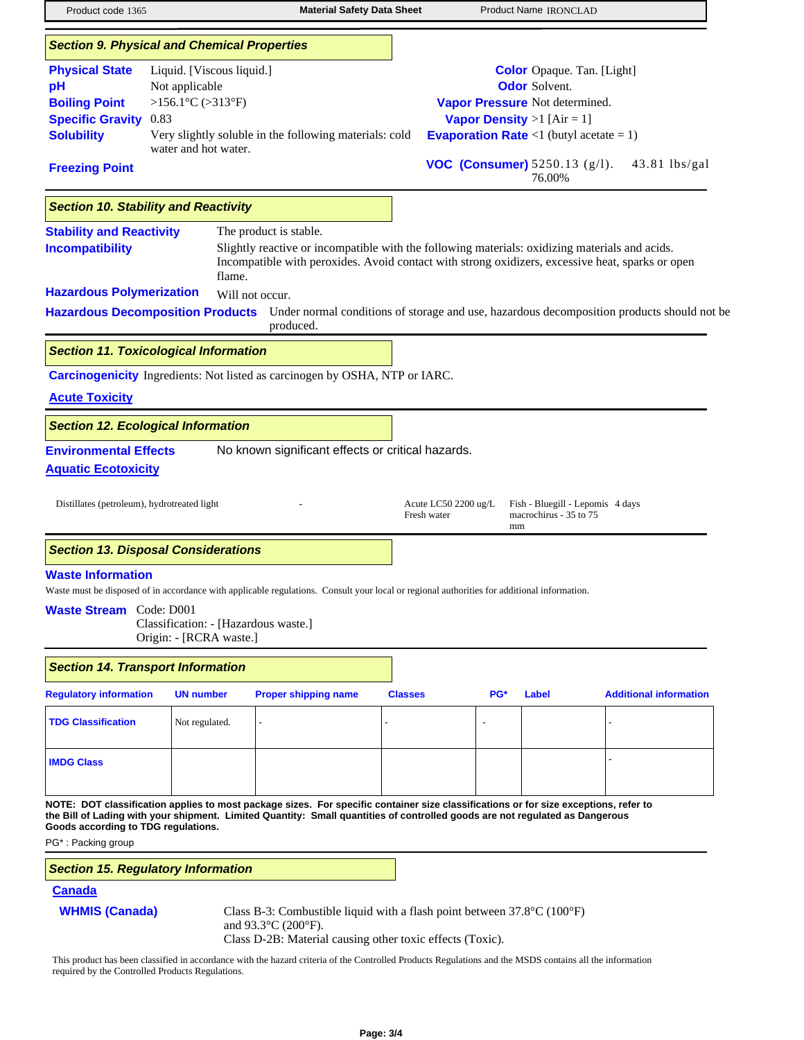| Product code 1365                                                                                                            |                                                                                                  | <b>Material Safety Data Sheet</b>                                                                                                                                                                                                                                    |                |                           | Product Name IRONCLAD                                                                                                                                                                                                                 |                               |
|------------------------------------------------------------------------------------------------------------------------------|--------------------------------------------------------------------------------------------------|----------------------------------------------------------------------------------------------------------------------------------------------------------------------------------------------------------------------------------------------------------------------|----------------|---------------------------|---------------------------------------------------------------------------------------------------------------------------------------------------------------------------------------------------------------------------------------|-------------------------------|
|                                                                                                                              | <b>Section 9. Physical and Chemical Properties</b>                                               |                                                                                                                                                                                                                                                                      |                |                           |                                                                                                                                                                                                                                       |                               |
| <b>Physical State</b><br>pH<br><b>Boiling Point</b><br><b>Specific Gravity</b><br><b>Solubility</b><br><b>Freezing Point</b> | Liquid. [Viscous liquid.]<br>Not applicable<br>>156.1°C (>313°F)<br>0.83<br>water and hot water. | Very slightly soluble in the following materials: cold                                                                                                                                                                                                               |                |                           | <b>Color</b> Opaque. Tan. [Light]<br><b>Odor</b> Solvent.<br>Vapor Pressure Not determined.<br>Vapor Density $>1$ [Air = 1]<br><b>Evaporation Rate</b> <1 (butyl acetate = 1)<br><b>VOC (Consumer)</b> $5250.13$ ( $g/l$ ).<br>76.00% | $43.81$ lbs/gal               |
|                                                                                                                              | <b>Section 10. Stability and Reactivity</b>                                                      |                                                                                                                                                                                                                                                                      |                |                           |                                                                                                                                                                                                                                       |                               |
| <b>Stability and Reactivity</b><br><b>Incompatibility</b>                                                                    | flame.                                                                                           | The product is stable.<br>Slightly reactive or incompatible with the following materials: oxidizing materials and acids.<br>Incompatible with peroxides. Avoid contact with strong oxidizers, excessive heat, sparks or open                                         |                |                           |                                                                                                                                                                                                                                       |                               |
| <b>Hazardous Polymerization</b>                                                                                              |                                                                                                  | Will not occur.<br>Hazardous Decomposition Products Under normal conditions of storage and use, hazardous decomposition products should not be<br>produced.                                                                                                          |                |                           |                                                                                                                                                                                                                                       |                               |
|                                                                                                                              | <b>Section 11. Toxicological Information</b>                                                     |                                                                                                                                                                                                                                                                      |                |                           |                                                                                                                                                                                                                                       |                               |
| <b>Acute Toxicity</b>                                                                                                        |                                                                                                  | <b>Carcinogenicity</b> Ingredients: Not listed as carcinogen by OSHA, NTP or IARC.                                                                                                                                                                                   |                |                           |                                                                                                                                                                                                                                       |                               |
|                                                                                                                              | <b>Section 12. Ecological Information</b>                                                        |                                                                                                                                                                                                                                                                      |                |                           |                                                                                                                                                                                                                                       |                               |
| <b>Environmental Effects</b><br><b>Aquatic Ecotoxicity</b>                                                                   |                                                                                                  | No known significant effects or critical hazards.                                                                                                                                                                                                                    |                |                           |                                                                                                                                                                                                                                       |                               |
| Distillates (petroleum), hydrotreated light                                                                                  |                                                                                                  |                                                                                                                                                                                                                                                                      | Fresh water    | Acute LC50 2200 $\mu$ g/L | Fish - Bluegill - Lepomis 4 days<br>macrochirus - 35 to 75<br>mm                                                                                                                                                                      |                               |
|                                                                                                                              | <b>Section 13. Disposal Considerations</b>                                                       |                                                                                                                                                                                                                                                                      |                |                           |                                                                                                                                                                                                                                       |                               |
| <b>Waste Information</b><br><b>Waste Stream</b> Code: D001                                                                   | Classification: - [Hazardous waste.]<br>Origin: - [RCRA waste.]                                  | Waste must be disposed of in accordance with applicable regulations. Consult your local or regional authorities for additional information.                                                                                                                          |                |                           |                                                                                                                                                                                                                                       |                               |
|                                                                                                                              | <b>Section 14. Transport Information</b>                                                         |                                                                                                                                                                                                                                                                      |                |                           |                                                                                                                                                                                                                                       |                               |
| <b>Regulatory information</b>                                                                                                | <b>UN number</b>                                                                                 | <b>Proper shipping name</b>                                                                                                                                                                                                                                          | <b>Classes</b> |                           | PG*<br>Label                                                                                                                                                                                                                          | <b>Additional information</b> |
| <b>TDG Classification</b>                                                                                                    | Not regulated.                                                                                   |                                                                                                                                                                                                                                                                      |                |                           |                                                                                                                                                                                                                                       |                               |
| <b>IMDG Class</b>                                                                                                            |                                                                                                  |                                                                                                                                                                                                                                                                      |                |                           |                                                                                                                                                                                                                                       |                               |
| Goods according to TDG regulations.<br>PG*: Packing group                                                                    |                                                                                                  | NOTE: DOT classification applies to most package sizes. For specific container size classifications or for size exceptions, refer to<br>the Bill of Lading with your shipment. Limited Quantity: Small quantities of controlled goods are not regulated as Dangerous |                |                           |                                                                                                                                                                                                                                       |                               |
|                                                                                                                              | <b>Section 15. Regulatory Information</b>                                                        |                                                                                                                                                                                                                                                                      |                |                           |                                                                                                                                                                                                                                       |                               |
| <b>Canada</b><br><b>WHMIS (Canada)</b>                                                                                       |                                                                                                  | Class B-3: Combustible liquid with a flash point between $37.8^{\circ}$ C (100 $^{\circ}$ F)<br>and 93.3°C (200°F).<br>Class D-2B: Material causing other toxic effects (Toxic).                                                                                     |                |                           |                                                                                                                                                                                                                                       |                               |

This product has been classified in accordance with the hazard criteria of the Controlled Products Regulations and the MSDS contains all the information required by the Controlled Products Regulations.